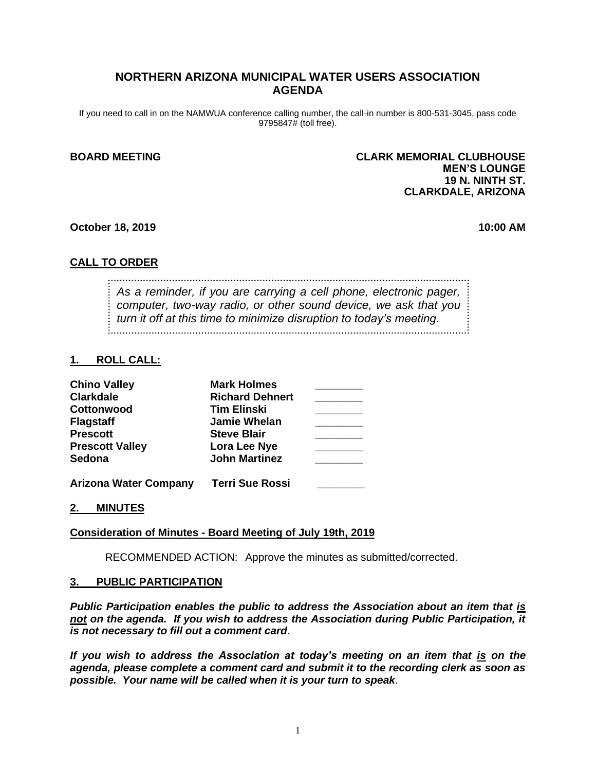# **NORTHERN ARIZONA MUNICIPAL WATER USERS ASSOCIATION AGENDA**

If you need to call in on the NAMWUA conference calling number, the call-in number is 800-531-3045, pass code 9795847# (toll free).

## **BOARD MEETING CLARK MEMORIAL CLUBHOUSE MEN'S LOUNGE 19 N. NINTH ST. CLARKDALE, ARIZONA**

#### **October 18, 2019 10:00 AM**

## **CALL TO ORDER**

*As a reminder, if you are carrying a cell phone, electronic pager, computer, two-way radio, or other sound device, we ask that you turn it off at this time to minimize disruption to today's meeting.*

#### **1. ROLL CALL:**

| <b>Chino Valley</b>          | <b>Mark Holmes</b>     |  |
|------------------------------|------------------------|--|
| <b>Clarkdale</b>             | <b>Richard Dehnert</b> |  |
| Cottonwood                   | <b>Tim Elinski</b>     |  |
| <b>Flagstaff</b>             | <b>Jamie Whelan</b>    |  |
| <b>Prescott</b>              | <b>Steve Blair</b>     |  |
| <b>Prescott Valley</b>       | Lora Lee Nye           |  |
| <b>Sedona</b>                | <b>John Martinez</b>   |  |
| <b>Arizona Water Company</b> | <b>Terri Sue Rossi</b> |  |

### **2. MINUTES**

### **Consideration of Minutes - Board Meeting of July 19th, 2019**

RECOMMENDED ACTION: Approve the minutes as submitted/corrected.

#### **3. PUBLIC PARTICIPATION**

*Public Participation enables the public to address the Association about an item that is not on the agenda. If you wish to address the Association during Public Participation, it is not necessary to fill out a comment card*.

*If you wish to address the Association at today's meeting on an item that is on the agenda, please complete a comment card and submit it to the recording clerk as soon as possible. Your name will be called when it is your turn to speak*.